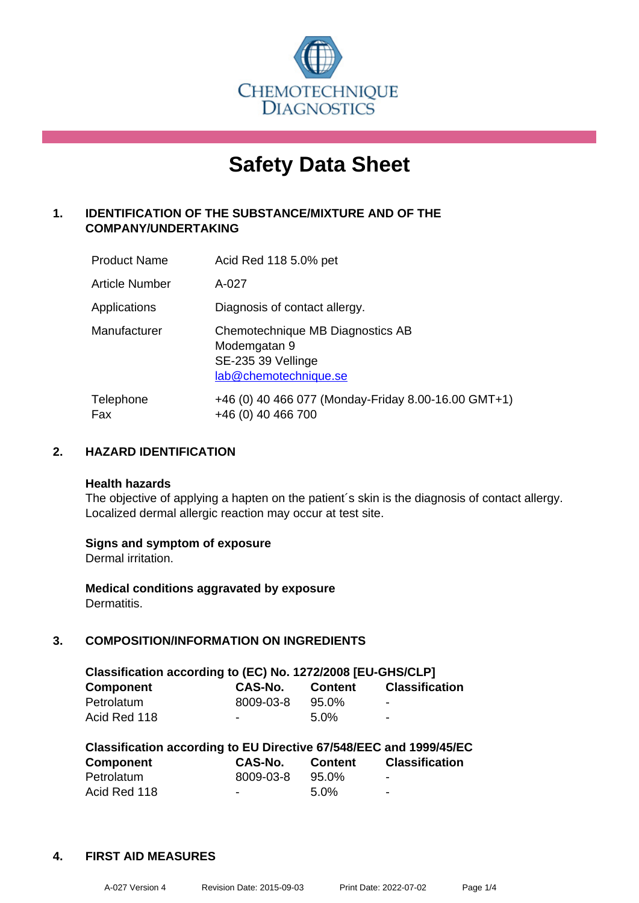

# **Safety Data Sheet**

# **1. IDENTIFICATION OF THE SUBSTANCE/MIXTURE AND OF THE COMPANY/UNDERTAKING**

| <b>Product Name</b>   | Acid Red 118 5.0% pet                                                                           |
|-----------------------|-------------------------------------------------------------------------------------------------|
| <b>Article Number</b> | A-027                                                                                           |
| Applications          | Diagnosis of contact allergy.                                                                   |
| Manufacturer          | Chemotechnique MB Diagnostics AB<br>Modemgatan 9<br>SE-235 39 Vellinge<br>lab@chemotechnique.se |
| Telephone<br>Fax      | +46 (0) 40 466 077 (Monday-Friday 8.00-16.00 GMT+1)<br>+46 (0) 40 466 700                       |

# **2. HAZARD IDENTIFICATION**

#### **Health hazards**

The objective of applying a hapten on the patient's skin is the diagnosis of contact allergy. Localized dermal allergic reaction may occur at test site.

#### **Signs and symptom of exposure**

Dermal irritation.

**Medical conditions aggravated by exposure** Dermatitis.

# **3. COMPOSITION/INFORMATION ON INGREDIENTS**

| Classification according to (EC) No. 1272/2008 [EU-GHS/CLP] |           |                |                          |  |  |
|-------------------------------------------------------------|-----------|----------------|--------------------------|--|--|
| <b>Component</b>                                            | CAS-No.   | <b>Content</b> | <b>Classification</b>    |  |  |
| Petrolatum                                                  | 8009-03-8 | $95.0\%$       | -                        |  |  |
| Acid Red 118                                                | $\sim$    | 5.0%           | $\overline{\phantom{a}}$ |  |  |

| Classification according to EU Directive 67/548/EEC and 1999/45/EC |           |                |                       |  |  |
|--------------------------------------------------------------------|-----------|----------------|-----------------------|--|--|
| Component                                                          | CAS-No.   | <b>Content</b> | <b>Classification</b> |  |  |
| Petrolatum                                                         | 8009-03-8 | 95.0%          | $\blacksquare$        |  |  |
| Acid Red 118                                                       | $\sim$    | $5.0\%$        | -                     |  |  |

#### **4. FIRST AID MEASURES**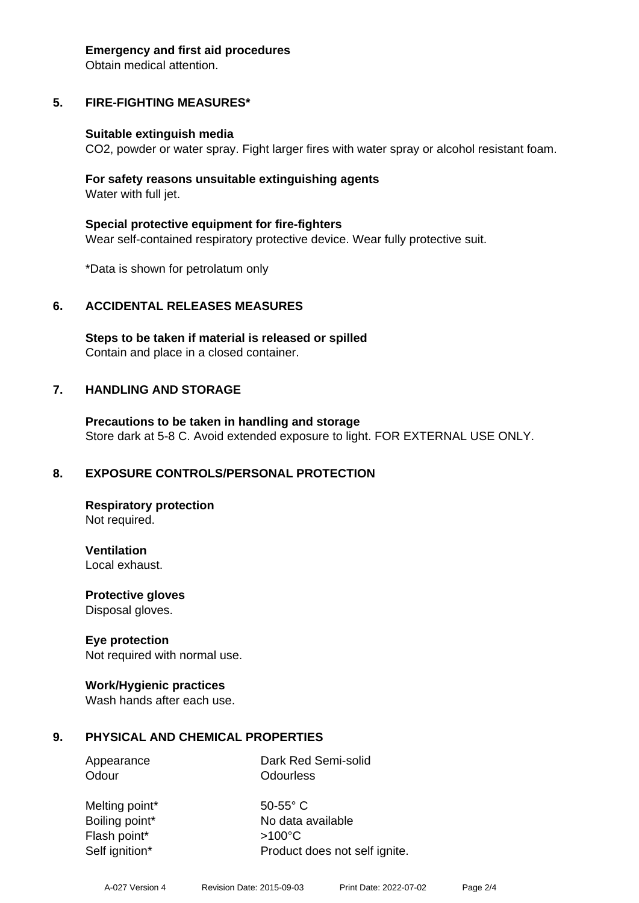#### **Emergency and first aid procedures**

Obtain medical attention.

# **5. FIRE-FIGHTING MEASURES\***

#### **Suitable extinguish media**

CO2, powder or water spray. Fight larger fires with water spray or alcohol resistant foam.

#### **For safety reasons unsuitable extinguishing agents** Water with full jet.

**Special protective equipment for fire-fighters** Wear self-contained respiratory protective device. Wear fully protective suit.

\*Data is shown for petrolatum only

#### **6. ACCIDENTAL RELEASES MEASURES**

**Steps to be taken if material is released or spilled** Contain and place in a closed container.

#### **7. HANDLING AND STORAGE**

**Precautions to be taken in handling and storage** Store dark at 5-8 C. Avoid extended exposure to light. FOR EXTERNAL USE ONLY.

#### **8. EXPOSURE CONTROLS/PERSONAL PROTECTION**

**Respiratory protection** Not required.

**Ventilation**

Local exhaust.

**Protective gloves** Disposal gloves.

#### **Eye protection**

Not required with normal use.

#### **Work/Hygienic practices**

Wash hands after each use.

#### **9. PHYSICAL AND CHEMICAL PROPERTIES**

Appearance Dark Red Semi-solid Odour **Odourless** 

Melting point\* 50-55° C Flash point\* >100°C Self ignition\* Product does not self ignite.

Boiling point\* No data available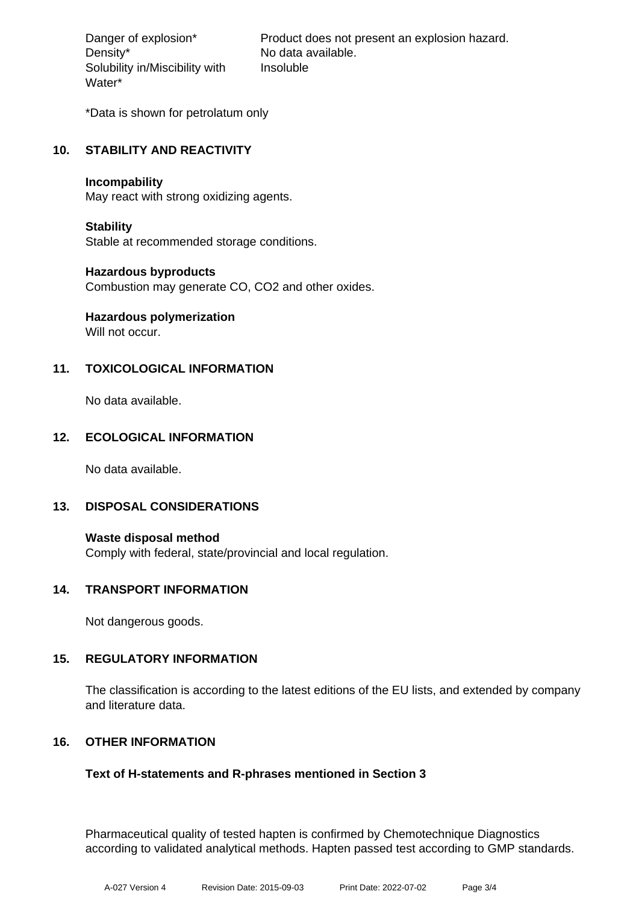Density\* No data available. Solubility in/Miscibility with Water\*

Danger of explosion\* Product does not present an explosion hazard. Insoluble

\*Data is shown for petrolatum only

# **10. STABILITY AND REACTIVITY**

#### **Incompability**

May react with strong oxidizing agents.

#### **Stability**

Stable at recommended storage conditions.

#### **Hazardous byproducts**

Combustion may generate CO, CO2 and other oxides.

# **Hazardous polymerization**

Will not occur.

# **11. TOXICOLOGICAL INFORMATION**

No data available.

# **12. ECOLOGICAL INFORMATION**

No data available.

#### **13. DISPOSAL CONSIDERATIONS**

**Waste disposal method** Comply with federal, state/provincial and local regulation.

#### **14. TRANSPORT INFORMATION**

Not dangerous goods.

#### **15. REGULATORY INFORMATION**

The classification is according to the latest editions of the EU lists, and extended by company and literature data.

#### **16. OTHER INFORMATION**

#### **Text of H-statements and R-phrases mentioned in Section 3**

Pharmaceutical quality of tested hapten is confirmed by Chemotechnique Diagnostics according to validated analytical methods. Hapten passed test according to GMP standards.